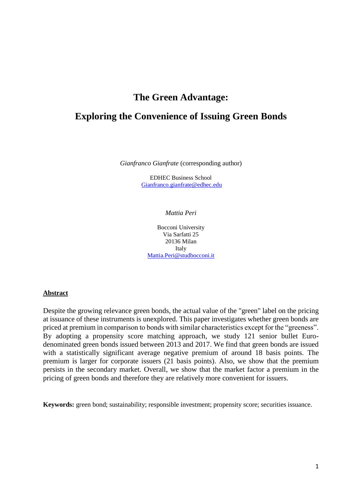# **The Green Advantage:**

# **Exploring the Convenience of Issuing Green Bonds**

*Gianfranco Gianfrate* (corresponding author)

EDHEC Business School Gianfranco.gianfrate@edhec.edu

#### *Mattia Peri*

Bocconi University Via Sarfatti 25 20136 Milan Italy Mattia.Peri@studbocconi.it

#### **Abstract**

Despite the growing relevance green bonds, the actual value of the "green" label on the pricing at issuance of these instruments is unexplored. This paper investigates whether green bonds are priced at premium in comparison to bonds with similar characteristics except for the "greeness". By adopting a propensity score matching approach, we study 121 senior bullet Eurodenominated green bonds issued between 2013 and 2017. We find that green bonds are issued with a statistically significant average negative premium of around 18 basis points. The premium is larger for corporate issuers (21 basis points). Also, we show that the premium persists in the secondary market. Overall, we show that the market factor a premium in the pricing of green bonds and therefore they are relatively more convenient for issuers.

**Keywords:** green bond; sustainability; responsible investment; propensity score; securities issuance.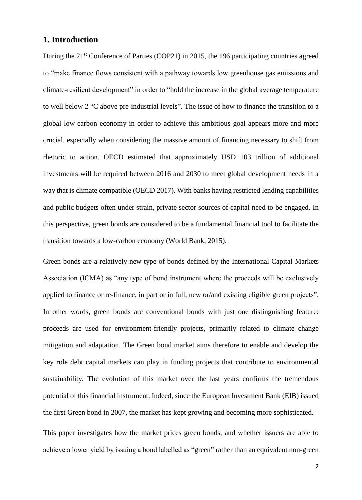## **1. Introduction**

During the 21<sup>st</sup> Conference of Parties (COP21) in 2015, the 196 participating countries agreed to "make finance flows consistent with a pathway towards low greenhouse gas emissions and climate-resilient development" in order to "hold the increase in the global average temperature to well below 2 °C above pre-industrial levels". The issue of how to finance the transition to a global low-carbon economy in order to achieve this ambitious goal appears more and more crucial, especially when considering the massive amount of financing necessary to shift from rhetoric to action. OECD estimated that approximately USD 103 trillion of additional investments will be required between 2016 and 2030 to meet global development needs in a way that is climate compatible (OECD 2017). With banks having restricted lending capabilities and public budgets often under strain, private sector sources of capital need to be engaged. In this perspective, green bonds are considered to be a fundamental financial tool to facilitate the transition towards a low-carbon economy (World Bank, 2015).

Green bonds are a relatively new type of bonds defined by the International Capital Markets Association (ICMA) as "any type of bond instrument where the proceeds will be exclusively applied to finance or re-finance, in part or in full, new or/and existing eligible green projects". In other words, green bonds are conventional bonds with just one distinguishing feature: proceeds are used for environment-friendly projects, primarily related to climate change mitigation and adaptation. The Green bond market aims therefore to enable and develop the key role debt capital markets can play in funding projects that contribute to environmental sustainability. The evolution of this market over the last years confirms the tremendous potential of this financial instrument. Indeed, since the European Investment Bank (EIB) issued the first Green bond in 2007, the market has kept growing and becoming more sophisticated.

This paper investigates how the market prices green bonds, and whether issuers are able to achieve a lower yield by issuing a bond labelled as "green" rather than an equivalent non-green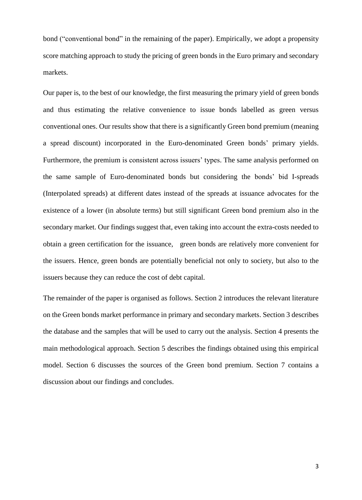bond ("conventional bond" in the remaining of the paper). Empirically, we adopt a propensity score matching approach to study the pricing of green bonds in the Euro primary and secondary markets.

Our paper is, to the best of our knowledge, the first measuring the primary yield of green bonds and thus estimating the relative convenience to issue bonds labelled as green versus conventional ones. Our results show that there is a significantly Green bond premium (meaning a spread discount) incorporated in the Euro-denominated Green bonds' primary yields. Furthermore, the premium is consistent across issuers' types. The same analysis performed on the same sample of Euro-denominated bonds but considering the bonds' bid I-spreads (Interpolated spreads) at different dates instead of the spreads at issuance advocates for the existence of a lower (in absolute terms) but still significant Green bond premium also in the secondary market. Our findings suggest that, even taking into account the extra-costs needed to obtain a green certification for the issuance, green bonds are relatively more convenient for the issuers. Hence, green bonds are potentially beneficial not only to society, but also to the issuers because they can reduce the cost of debt capital.

The remainder of the paper is organised as follows. Section 2 introduces the relevant literature on the Green bonds market performance in primary and secondary markets. Section 3 describes the database and the samples that will be used to carry out the analysis. Section 4 presents the main methodological approach. Section 5 describes the findings obtained using this empirical model. Section 6 discusses the sources of the Green bond premium. Section 7 contains a discussion about our findings and concludes.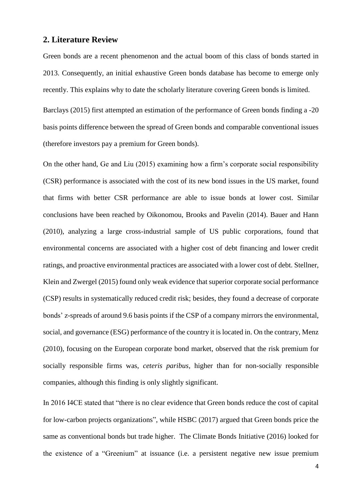## **2. Literature Review**

Green bonds are a recent phenomenon and the actual boom of this class of bonds started in 2013. Consequently, an initial exhaustive Green bonds database has become to emerge only recently. This explains why to date the scholarly literature covering Green bonds is limited.

Barclays (2015) first attempted an estimation of the performance of Green bonds finding a -20 basis points difference between the spread of Green bonds and comparable conventional issues (therefore investors pay a premium for Green bonds).

On the other hand, Ge and Liu (2015) examining how a firm's corporate social responsibility (CSR) performance is associated with the cost of its new bond issues in the US market, found that firms with better CSR performance are able to issue bonds at lower cost. Similar conclusions have been reached by Oikonomou, Brooks and Pavelin (2014). Bauer and Hann (2010), analyzing a large cross-industrial sample of US public corporations, found that environmental concerns are associated with a higher cost of debt financing and lower credit ratings, and proactive environmental practices are associated with a lower cost of debt. Stellner, Klein and Zwergel (2015) found only weak evidence that superior corporate social performance (CSP) results in systematically reduced credit risk; besides, they found a decrease of corporate bonds' z-spreads of around 9.6 basis points if the CSP of a company mirrors the environmental, social, and governance (ESG) performance of the country it is located in. On the contrary, Menz (2010), focusing on the European corporate bond market, observed that the risk premium for socially responsible firms was, *ceteris paribus*, higher than for non-socially responsible companies, although this finding is only slightly significant.

In 2016 I4CE stated that "there is no clear evidence that Green bonds reduce the cost of capital for low-carbon projects organizations", while HSBC (2017) argued that Green bonds price the same as conventional bonds but trade higher. The Climate Bonds Initiative (2016) looked for the existence of a "Greenium" at issuance (i.e. a persistent negative new issue premium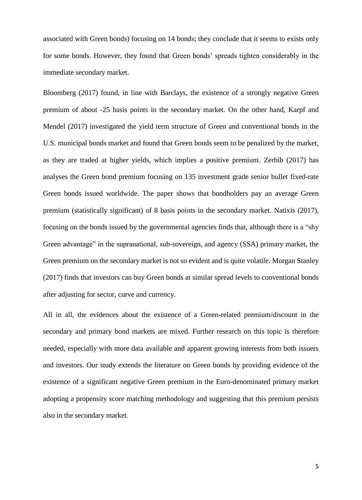associated with Green bonds) focusing on 14 bonds; they conclude that it seems to exists only for some bonds. However, they found that Green bonds' spreads tighten considerably in the immediate secondary market.

Bloomberg (2017) found, in line with Barclays, the existence of a strongly negative Green premium of about -25 basis points in the secondary market. On the other hand, Karpf and Mendel (2017) investigated the yield term structure of Green and conventional bonds in the U.S. municipal bonds market and found that Green bonds seem to be penalized by the market, as they are traded at higher yields, which implies a positive premium. Zerbib (2017) has analyses the Green bond premium focusing on 135 investment grade senior bullet fixed-rate Green bonds issued worldwide. The paper shows that bondholders pay an average Green premium (statistically significant) of 8 basis points in the secondary market. Natixis (2017), focusing on the bonds issued by the governmental agencies finds that, although there is a "shy Green advantage" in the supranational, sub-sovereign, and agency (SSA) primary market, the Green premium on the secondary market is not so evident and is quite volatile. Morgan Stanley (2017) finds that investors can buy Green bonds at similar spread levels to conventional bonds after adjusting for sector, curve and currency.

All in all, the evidences about the existence of a Green-related premium/discount in the secondary and primary bond markets are mixed. Further research on this topic is therefore needed, especially with more data available and apparent growing interests from both issuers and investors. Our study extends the literature on Green bonds by providing evidence of the existence of a significant negative Green premium in the Euro-denominated primary market adopting a propensity score matching methodology and suggesting that this premium persists also in the secondary market.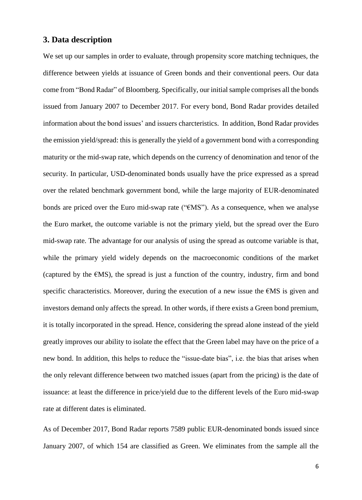## **3. Data description**

We set up our samples in order to evaluate, through propensity score matching techniques, the difference between yields at issuance of Green bonds and their conventional peers. Our data come from "Bond Radar" of Bloomberg. Specifically, our initial sample comprises all the bonds issued from January 2007 to December 2017. For every bond, Bond Radar provides detailed information about the bond issues' and issuers charcteristics. In addition, Bond Radar provides the emission yield/spread: this is generally the yield of a government bond with a corresponding maturity or the mid-swap rate, which depends on the currency of denomination and tenor of the security. In particular, USD-denominated bonds usually have the price expressed as a spread over the related benchmark government bond, while the large majority of EUR-denominated bonds are priced over the Euro mid-swap rate ("€MS"). As a consequence, when we analyse the Euro market, the outcome variable is not the primary yield, but the spread over the Euro mid-swap rate. The advantage for our analysis of using the spread as outcome variable is that, while the primary yield widely depends on the macroeconomic conditions of the market (captured by the  $f(MS)$ , the spread is just a function of the country, industry, firm and bond specific characteristics. Moreover, during the execution of a new issue the €MS is given and investors demand only affects the spread. In other words, if there exists a Green bond premium, it is totally incorporated in the spread. Hence, considering the spread alone instead of the yield greatly improves our ability to isolate the effect that the Green label may have on the price of a new bond. In addition, this helps to reduce the "issue-date bias", i.e. the bias that arises when the only relevant difference between two matched issues (apart from the pricing) is the date of issuance: at least the difference in price/yield due to the different levels of the Euro mid-swap rate at different dates is eliminated.

As of December 2017, Bond Radar reports 7589 public EUR-denominated bonds issued since January 2007, of which 154 are classified as Green. We eliminates from the sample all the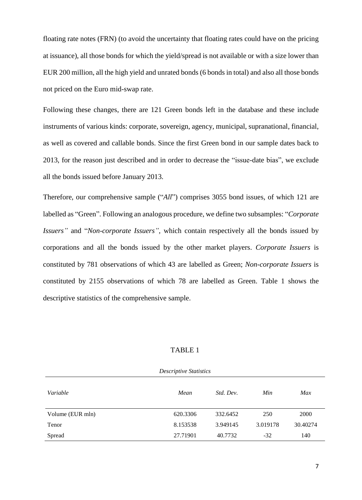floating rate notes (FRN) (to avoid the uncertainty that floating rates could have on the pricing at issuance), all those bonds for which the yield/spread is not available or with a size lower than EUR 200 million, all the high yield and unrated bonds (6 bonds in total) and also all those bonds not priced on the Euro mid-swap rate.

Following these changes, there are 121 Green bonds left in the database and these include instruments of various kinds: corporate, sovereign, agency, municipal, supranational, financial, as well as covered and callable bonds. Since the first Green bond in our sample dates back to 2013, for the reason just described and in order to decrease the "issue-date bias", we exclude all the bonds issued before January 2013.

Therefore, our comprehensive sample ("*All*") comprises 3055 bond issues, of which 121 are labelled as "Green". Following an analogous procedure, we define two subsamples: "*Corporate Issuers"* and "*Non-corporate Issuers",* which contain respectively all the bonds issued by corporations and all the bonds issued by the other market players. *Corporate Issuers* is constituted by 781 observations of which 43 are labelled as Green; *Non-corporate Issuers* is constituted by 2155 observations of which 78 are labelled as Green. Table 1 shows the descriptive statistics of the comprehensive sample.

#### TABLE 1

| <b>Descriptive Statistics</b> |          |           |          |          |  |  |  |  |  |
|-------------------------------|----------|-----------|----------|----------|--|--|--|--|--|
| Variable                      | Mean     | Std. Dev. | Min      | Max      |  |  |  |  |  |
| Volume (EUR mln)              | 620.3306 | 332.6452  | 250      | 2000     |  |  |  |  |  |
| Tenor                         | 8.153538 | 3.949145  | 3.019178 | 30.40274 |  |  |  |  |  |
| Spread                        | 27.71901 | 40.7732   | $-32$    | 140      |  |  |  |  |  |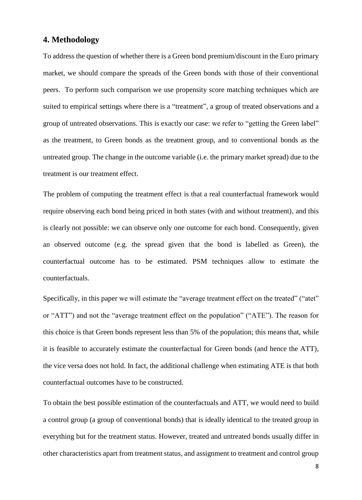## **4. Methodology**

To address the question of whether there is a Green bond premium/discount in the Euro primary market, we should compare the spreads of the Green bonds with those of their conventional peers. To perform such comparison we use propensity score matching techniques which are suited to empirical settings where there is a "treatment", a group of treated observations and a group of untreated observations. This is exactly our case: we refer to "getting the Green label" as the treatment, to Green bonds as the treatment group, and to conventional bonds as the untreated group. The change in the outcome variable (i.e. the primary market spread) due to the treatment is our treatment effect.

The problem of computing the treatment effect is that a real counterfactual framework would require observing each bond being priced in both states (with and without treatment), and this is clearly not possible: we can observe only one outcome for each bond. Consequently, given an observed outcome (e.g. the spread given that the bond is labelled as Green), the counterfactual outcome has to be estimated. PSM techniques allow to estimate the counterfactuals.

Specifically, in this paper we will estimate the "average treatment effect on the treated" ("atet" or "ATT") and not the "average treatment effect on the population" ("ATE"). The reason for this choice is that Green bonds represent less than 5% of the population; this means that, while it is feasible to accurately estimate the counterfactual for Green bonds (and hence the ATT), the vice versa does not hold. In fact, the additional challenge when estimating ATE is that both counterfactual outcomes have to be constructed.

To obtain the best possible estimation of the counterfactuals and ATT, we would need to build a control group (a group of conventional bonds) that is ideally identical to the treated group in everything but for the treatment status. However, treated and untreated bonds usually differ in other characteristics apart from treatment status, and assignment to treatment and control group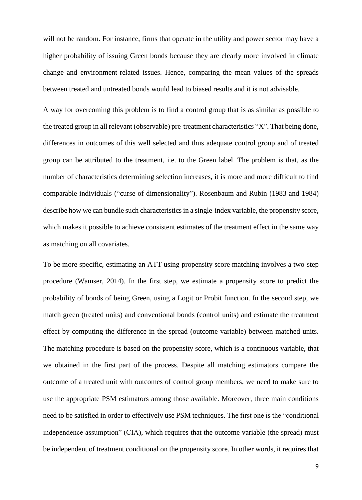will not be random. For instance, firms that operate in the utility and power sector may have a higher probability of issuing Green bonds because they are clearly more involved in climate change and environment-related issues. Hence, comparing the mean values of the spreads between treated and untreated bonds would lead to biased results and it is not advisable.

A way for overcoming this problem is to find a control group that is as similar as possible to the treated group in all relevant (observable) pre-treatment characteristics "X". That being done, differences in outcomes of this well selected and thus adequate control group and of treated group can be attributed to the treatment, i.e. to the Green label. The problem is that, as the number of characteristics determining selection increases, it is more and more difficult to find comparable individuals ("curse of dimensionality"). Rosenbaum and Rubin (1983 and 1984) describe how we can bundle such characteristics in a single-index variable, the propensity score, which makes it possible to achieve consistent estimates of the treatment effect in the same way as matching on all covariates.

To be more specific, estimating an ATT using propensity score matching involves a two-step procedure (Wamser, 2014). In the first step, we estimate a propensity score to predict the probability of bonds of being Green, using a Logit or Probit function. In the second step, we match green (treated units) and conventional bonds (control units) and estimate the treatment effect by computing the difference in the spread (outcome variable) between matched units. The matching procedure is based on the propensity score, which is a continuous variable, that we obtained in the first part of the process. Despite all matching estimators compare the outcome of a treated unit with outcomes of control group members, we need to make sure to use the appropriate PSM estimators among those available. Moreover, three main conditions need to be satisfied in order to effectively use PSM techniques. The first one is the "conditional independence assumption" (CIA), which requires that the outcome variable (the spread) must be independent of treatment conditional on the propensity score. In other words, it requires that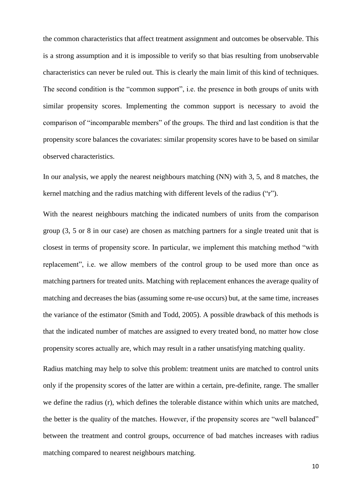the common characteristics that affect treatment assignment and outcomes be observable. This is a strong assumption and it is impossible to verify so that bias resulting from unobservable characteristics can never be ruled out. This is clearly the main limit of this kind of techniques. The second condition is the "common support", i.e. the presence in both groups of units with similar propensity scores. Implementing the common support is necessary to avoid the comparison of "incomparable members" of the groups. The third and last condition is that the propensity score balances the covariates: similar propensity scores have to be based on similar observed characteristics.

In our analysis, we apply the nearest neighbours matching (NN) with 3, 5, and 8 matches, the kernel matching and the radius matching with different levels of the radius ("r").

With the nearest neighbours matching the indicated numbers of units from the comparison group (3, 5 or 8 in our case) are chosen as matching partners for a single treated unit that is closest in terms of propensity score. In particular, we implement this matching method "with replacement", i.e. we allow members of the control group to be used more than once as matching partners for treated units. Matching with replacement enhances the average quality of matching and decreases the bias (assuming some re-use occurs) but, at the same time, increases the variance of the estimator (Smith and Todd, 2005). A possible drawback of this methods is that the indicated number of matches are assigned to every treated bond, no matter how close propensity scores actually are, which may result in a rather unsatisfying matching quality.

Radius matching may help to solve this problem: treatment units are matched to control units only if the propensity scores of the latter are within a certain, pre-definite, range. The smaller we define the radius (r), which defines the tolerable distance within which units are matched, the better is the quality of the matches. However, if the propensity scores are "well balanced" between the treatment and control groups, occurrence of bad matches increases with radius matching compared to nearest neighbours matching.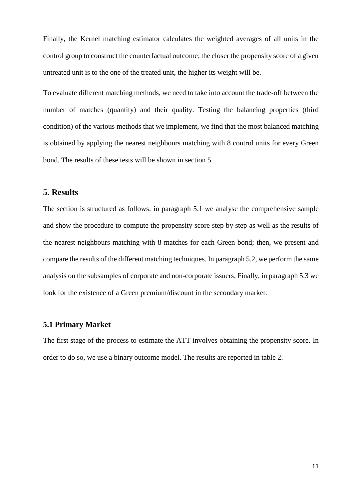Finally, the Kernel matching estimator calculates the weighted averages of all units in the control group to construct the counterfactual outcome; the closer the propensity score of a given untreated unit is to the one of the treated unit, the higher its weight will be.

To evaluate different matching methods, we need to take into account the trade-off between the number of matches (quantity) and their quality. Testing the balancing properties (third condition) of the various methods that we implement, we find that the most balanced matching is obtained by applying the nearest neighbours matching with 8 control units for every Green bond. The results of these tests will be shown in section 5.

## **5. Results**

The section is structured as follows: in paragraph 5.1 we analyse the comprehensive sample and show the procedure to compute the propensity score step by step as well as the results of the nearest neighbours matching with 8 matches for each Green bond; then, we present and compare the results of the different matching techniques. In paragraph 5.2, we perform the same analysis on the subsamples of corporate and non-corporate issuers. Finally, in paragraph 5.3 we look for the existence of a Green premium/discount in the secondary market.

## **5.1 Primary Market**

The first stage of the process to estimate the ATT involves obtaining the propensity score. In order to do so, we use a binary outcome model. The results are reported in table 2.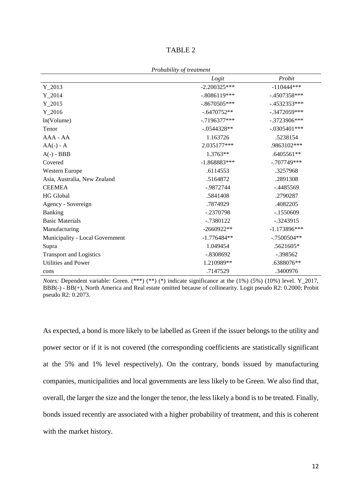| D<br>\D I |  |
|-----------|--|
|-----------|--|

|                                 | Logit          | Probit         |
|---------------------------------|----------------|----------------|
| $Y_2013$                        | $-2.200325***$ | $-110444***$   |
| $Y_2014$                        | $-.8086119***$ | $-.4507358***$ |
| $Y_2015$                        | $-.8670505***$ | $-.4532353***$ |
| $Y_2016$                        | $-.6470752**$  | $-.3472059***$ |
| ln(Volume)                      | $-.7196377***$ | $-.3723906***$ |
| Tenor                           | $-.0544328**$  | $-.0305401***$ |
| $AAA - AA$                      | 1.163726       | .5238154       |
| $AA(-) - A$                     | 2.035177***    | .9863102***    |
| $A(-) - BBB$                    | 1.3763**       | .6405561**     |
| Covered                         | $-1.868883***$ | $-.707749***$  |
| Western Europe                  | .6114553       | .3257968       |
| Asia, Australia, New Zealand    | .5164872       | .2891308       |
| <b>CEEMEA</b>                   | $-0.9872744$   | $-.4485569$    |
| <b>HG</b> Global                | .5841408       | .2790287       |
| Agency - Sovereign              | .7874929       | .4082205       |
| Banking                         | -.2370798      | $-1550609$     |
| <b>Basic Materials</b>          | $-0.7380122$   | $-.3243915$    |
| Manufacturing                   | $-2660922**$   | $-1.173896***$ |
| Municipality - Local Government | $-1.776484**$  | $-.7500504**$  |
| Supra                           | 1.049454       | .5621605*      |
| <b>Transport and Logistics</b>  | $-.8308692$    | $-.398562$     |
| Utilities and Power             | 1.210989**     | .6388076**     |
| cons                            | .7147529       | .3400976       |

*Probability of treatment*

*Notes: Dependent variable: Green.* (\*\*\*) (\*\*) (\*) indicate significance at the (1%) (5%) (10%) level. Y\_2017, BBB(-) - BB(+), North America and Real estate omitted because of collinearity. Logit pseudo R2: 0.2000; Probit pseudo R2: 0.2073.

As expected, a bond is more likely to be labelled as Green if the issuer belongs to the utility and power sector or if it is not covered (the corresponding coefficients are statistically significant at the 5% and 1% level respectively). On the contrary, bonds issued by manufacturing companies, municipalities and local governments are less likely to be Green. We also find that, overall, the larger the size and the longer the tenor, the less likely a bond is to be treated. Finally, bonds issued recently are associated with a higher probability of treatment, and this is coherent with the market history.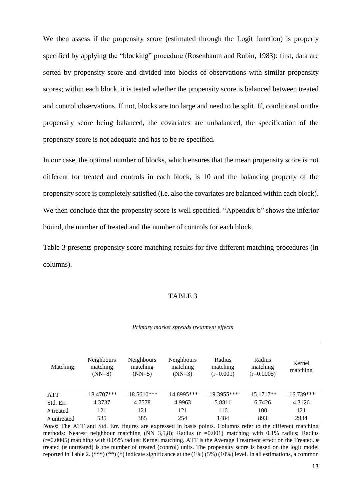We then assess if the propensity score (estimated through the Logit function) is properly specified by applying the "blocking" procedure (Rosenbaum and Rubin, 1983): first, data are sorted by propensity score and divided into blocks of observations with similar propensity scores; within each block, it is tested whether the propensity score is balanced between treated and control observations. If not, blocks are too large and need to be split. If, conditional on the propensity score being balanced, the covariates are unbalanced, the specification of the propensity score is not adequate and has to be re-specified.

In our case, the optimal number of blocks, which ensures that the mean propensity score is not different for treated and controls in each block, is 10 and the balancing property of the propensity score is completely satisfied (i.e. also the covariates are balanced within each block). We then conclude that the propensity score is well specified. "Appendix b" shows the inferior bound, the number of treated and the number of controls for each block.

Table 3 presents propensity score matching results for five different matching procedures (in columns).

#### TABLE 3

|  |  |  | Primary market spreads treatment effects |  |
|--|--|--|------------------------------------------|--|
|--|--|--|------------------------------------------|--|

| Matching:   | <b>Neighbours</b><br>matching<br>$(NN=8)$ | <b>Neighbours</b><br>matching<br>$(NN=5)$ | <b>Neighbours</b><br>matching<br>$(NN=3)$ | Radius<br>matching<br>$(r=0.001)$ | Radius<br>matching<br>$(r=0.0005)$ | Kernel<br>matching |
|-------------|-------------------------------------------|-------------------------------------------|-------------------------------------------|-----------------------------------|------------------------------------|--------------------|
| <b>ATT</b>  | $-18.4707***$                             | $-18.5610***$                             | $-14.8995***$                             | $-19.3955***$                     | $-15.1717**$                       | $-16.739***$       |
| Std. Err.   | 4.3737                                    | 4.7578                                    | 4.9963                                    | 5.8811                            | 6.7426                             | 4.3126             |
| # treated   | 121                                       | 121                                       | 121                                       | 116                               | 100                                | 121                |
| # untreated | 535                                       | 385                                       | 254                                       | 1484                              | 893                                | 2934               |

*Notes*: The ATT and Std. Err. figures are expressed in basis points. Columns refer to the different matching methods: Nearest neighbour matching (NN  $3,5,8$ ); Radius ( $r = 0.001$ ) matching with 0.1% radius; Radius  $(r=0.0005)$  matching with 0.05% radius; Kernel matching. ATT is the Average Treatment effect on the Treated. # treated (# untreated) is the number of treated (control) units. The propensity score is based on the logit model reported in Table 2. (\*\*\*) (\*) indicate significance at the  $(1\%)$  (5%) (10%) level. In all estimations, a common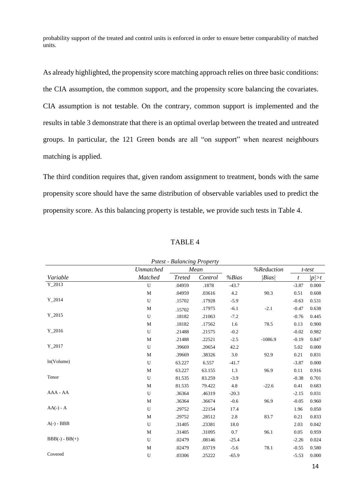probability support of the treated and control units is enforced in order to ensure better comparability of matched units.

As already highlighted, the propensity score matching approach relies on three basic conditions: the CIA assumption, the common support, and the propensity score balancing the covariates. CIA assumption is not testable. On the contrary, common support is implemented and the results in table 3 demonstrate that there is an optimal overlap between the treated and untreated groups. In particular, the 121 Green bonds are all "on support" when nearest neighbours matching is applied.

The third condition requires that, given random assignment to treatment, bonds with the same propensity score should have the same distribution of observable variables used to predict the propensity score. As this balancing property is testable, we provide such tests in Table 4.

|                                           |             | <b>Pstest - Balancing Property</b> |         |         |                 |                |       |  |  |
|-------------------------------------------|-------------|------------------------------------|---------|---------|-----------------|----------------|-------|--|--|
| %Reduction<br>Unmatched<br>Mean<br>t-test |             |                                    |         |         |                 |                |       |  |  |
| Variable                                  | Matched     | <b>Treted</b>                      | Control | %Bias   | $\langle Bias $ | $\mathfrak{t}$ | p >t  |  |  |
| $Y_2013$                                  | U           | .04959                             | .1878   | $-43.7$ |                 | $-3.87$        | 0.000 |  |  |
|                                           | $\mathbf M$ | .04959                             | .03616  | 4.2     | 90.3            | 0.51           | 0.608 |  |  |
| $Y_2014$                                  | U           | .15702                             | .17928  | $-5.9$  |                 | $-0.63$        | 0.531 |  |  |
|                                           | $\mathbf M$ | .15702                             | .17975  | $-6.1$  | $-2.1$          | $-0.47$        | 0.638 |  |  |
| $Y_2015$                                  | U           | .18182                             | .21063  | $-7.2$  |                 | $-0.76$        | 0.445 |  |  |
|                                           | $\mathbf M$ | .18182                             | .17562  | 1.6     | 78.5            | 0.13           | 0.900 |  |  |
| $Y_2016$                                  | U           | .21488                             | .21575  | $-0.2$  |                 | $-0.02$        | 0.982 |  |  |
|                                           | $\mathbf M$ | .21488                             | .22521  | $-2.5$  | $-1086.9$       | $-0.19$        | 0.847 |  |  |
| $Y_2017$                                  | U           | .39669                             | .20654  | 42.2    |                 | 5.02           | 0.000 |  |  |
|                                           | $\mathbf M$ | .39669                             | .38326  | 3.0     | 92.9            | 0.21           | 0.831 |  |  |
| ln(Volume)                                | U           | 63.227                             | 6.557   | $-41.7$ |                 | $-3.87$        | 0.000 |  |  |
|                                           | $\mathbf M$ | 63.227                             | 63.155  | 1.3     | 96.9            | 0.11           | 0.916 |  |  |
| Tenor                                     | U           | 81.535                             | 83.259  | $-3.9$  |                 | $-0.38$        | 0.701 |  |  |
|                                           | $\mathbf M$ | 81.535                             | 79.422  | 4.8     | $-22.6$         | 0.41           | 0.683 |  |  |
| AAA - AA                                  | U           | .36364                             | .46319  | $-20.3$ |                 | $-2.15$        | 0.031 |  |  |
|                                           | $\mathbf M$ | .36364                             | .36674  | $-0.6$  | 96.9            | $-0.05$        | 0.960 |  |  |
| $AA(-) - A$                               | U           | .29752                             | .22154  | 17.4    |                 | 1.96           | 0.050 |  |  |
|                                           | M           | .29752                             | .28512  | 2.8     | 83.7            | 0.21           | 0.833 |  |  |
| $A(-) - BBB$                              | U           | .31405                             | .23381  | 18.0    |                 | 2.03           | 0.042 |  |  |
|                                           | $\mathbf M$ | .31405                             | .31095  | 0.7     | 96.1            | 0.05           | 0.959 |  |  |
| $BBB(-) - BB(+)$                          | U           | .02479                             | .08146  | $-25.4$ |                 | $-2.26$        | 0.024 |  |  |
|                                           | $\mathbf M$ | .02479                             | .03719  | $-5.6$  | 78.1            | $-0.55$        | 0.580 |  |  |
| Covered                                   | U           | .03306                             | .25222  | $-65.9$ |                 | $-5.53$        | 0.000 |  |  |

TABLE 4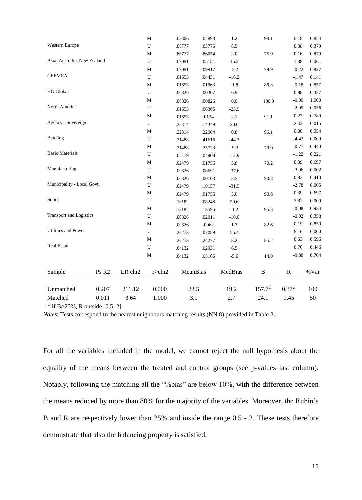|                                |                   |         | $\mathbf M$  | .03306   | .02893 | 1.2     | 98.1   | $0.18\,$     | 0.854 |
|--------------------------------|-------------------|---------|--------------|----------|--------|---------|--------|--------------|-------|
| <b>Western Europe</b>          |                   |         | U            | .86777   | .83776 | 8.5     |        | 0.88         | 0.379 |
|                                |                   |         | M            | .86777   | .86054 | 2.0     | 75.9   | 0.16         | 0.870 |
| Asia, Australia, New Zealand   |                   |         | U            | .09091   | .05181 | 15.2    |        | 1.88         | 0.061 |
|                                |                   |         | $\mathbf{M}$ | .09091   | .09917 | $-3.2$  | 78.9   | $-0.22$      | 0.827 |
| <b>CEEMEA</b>                  |                   |         | U            | .01653   | .04431 | $-16.2$ |        | $-1.47$      | 0.141 |
|                                |                   |         | M            | .01653   | .01963 | $-1.8$  | 88.8   | $-0.18$      | 0.857 |
| <b>HG</b> Global               |                   |         | U            | .00826   | .00307 | 6.9     |        | 0.98         | 0.327 |
|                                |                   |         | $\mathbf M$  | .00826   | .00826 | 0.0     | 100.0  | $-0.00$      | 1.000 |
| North America                  |                   |         | U            | .01653   | .06305 | $-23.9$ |        | $-2.09$      | 0.036 |
|                                |                   |         | $\mathbf{M}$ | .01653   | .0124  | 2.1     | 91.1   | 0.27         | 0.789 |
| Agency - Sovereign             |                   |         | U            | .22314   | .14349 | 20.6    |        | 2.43         | 0.015 |
|                                |                   |         | M            | .22314   | .22004 | $0.8\,$ | 96.1   | 0.06         | 0.954 |
| Banking                        |                   |         | U            | .21488   | .41616 | $-44.3$ |        | $-4.43$      | 0.000 |
|                                |                   |         | $\mathbf M$  | .21488   | .25723 | $-9.3$  | 79.0   | $-0.77$      | 0.440 |
| <b>Basic Materials</b>         |                   |         | U            | .02479   | .04908 | $-12.9$ |        | $-1.22$      | 0.221 |
|                                |                   |         | $\mathbf{M}$ | .02479   | .01756 | 3.8     | 70.2   | 0.39         | 0.697 |
| Manufacturing                  |                   |         | U            | .00826   | .08691 | $-37.6$ |        | $-3.06$      | 0.002 |
|                                |                   |         | $\mathbf{M}$ | .00826   | .00103 | 3.5     | 90.8   | 0.82         | 0.410 |
| Municipality - Local Govt.     |                   |         | $\mathbf U$  | .02479   | .10157 | $-31.9$ |        | $-2.78$      | 0.005 |
|                                |                   |         | $\mathbf M$  | .02479   | .01756 | 3.0     | 90.6   | 0.39         | 0.697 |
| Supra                          |                   |         | U            | .18182   | .08248 | 29.6    |        | 3.82         | 0.000 |
|                                |                   |         | $\mathbf M$  | .18182   | .18595 | $-1.2$  | 95.8   | $-0.08$      | 0.934 |
| <b>Transport and Logistics</b> |                   |         | U            | .00826   | .02011 | $-10.0$ |        | $-0.92$      | 0.358 |
|                                |                   |         | $\mathbf{M}$ | .00826   | .0062  | 1.7     | 82.6   | 0.19         | 0.850 |
| Utilities and Power            |                   |         | U            | .27273   | .07089 | 55.4    |        | 8.16         | 0.000 |
|                                |                   |         | M            | .27273   | .24277 | 8.2     | 85.2   | 0.53         | 0.596 |
| <b>Real Estate</b>             |                   |         | U            | .04132   | .02931 | 6.5     |        | 0.76         | 0.446 |
|                                |                   |         | М            | .04132   | .05165 | $-5.6$  | 14.0   | $-0.38$      | 0.704 |
|                                |                   |         |              |          |        |         |        |              |       |
| Sample                         | Ps R <sub>2</sub> | LR chi2 | p>chi2       | MeanBias |        | MedBias | B      | $\mathbb{R}$ | %Var  |
|                                |                   |         |              |          |        |         |        |              |       |
| Unmatched                      | 0.207             | 211.12  | 0.000        | 23.5     |        | 19.2    | 157.7* | $0.37*$      | 100   |
| Matched                        | 0.011             | 3.64    | 1.000        | 3.1      |        | 2.7     | 24.1   | 1.45         | 50    |

 $*$  if B>25%, R outside [0.5; 2]

*Notes*: Tests correspond to the nearest neighbours matching results (NN 8) provided in Table 3.

For all the variables included in the model, we cannot reject the null hypothesis about the equality of the means between the treated and control groups (see p-values last column). Notably, following the matching all the "%bias" are below 10%, with the difference between the means reduced by more than 80% for the majority of the variables. Moreover, the Rubin's B and R are respectively lower than 25% and inside the range 0.5 - 2. These tests therefore demonstrate that also the balancing property is satisfied.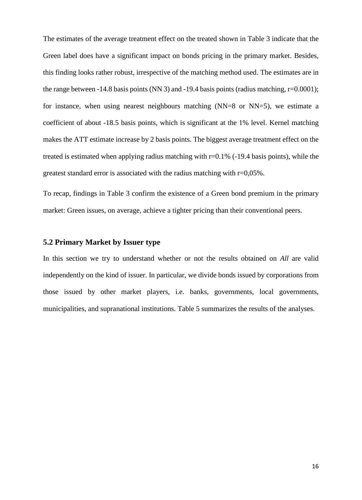The estimates of the average treatment effect on the treated shown in Table 3 indicate that the Green label does have a significant impact on bonds pricing in the primary market. Besides, this finding looks rather robust, irrespective of the matching method used. The estimates are in the range between -14.8 basis points (NN 3) and -19.4 basis points (radius matching,  $r=0.0001$ ); for instance, when using nearest neighbours matching (NN=8 or NN=5), we estimate a coefficient of about -18.5 basis points, which is significant at the 1% level. Kernel matching makes the ATT estimate increase by 2 basis points. The biggest average treatment effect on the treated is estimated when applying radius matching with r=0.1% (-19.4 basis points), while the greatest standard error is associated with the radius matching with r=0,05%.

To recap, findings in Table 3 confirm the existence of a Green bond premium in the primary market: Green issues, on average, achieve a tighter pricing than their conventional peers.

## **5.2 Primary Market by Issuer type**

In this section we try to understand whether or not the results obtained on *All* are valid independently on the kind of issuer. In particular, we divide bonds issued by corporations from those issued by other market players, i.e. banks, governments, local governments, municipalities, and supranational institutions. Table 5 summarizes the results of the analyses.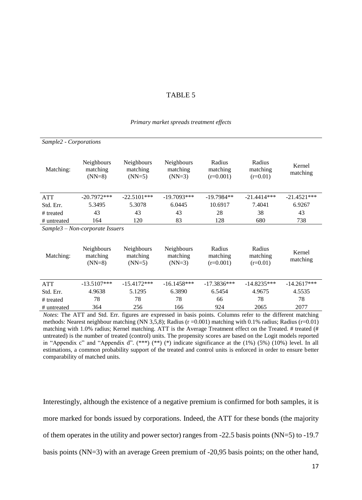#### TABLE 5

#### *Primary market spreads treatment effects*

| Sample2 - Corporations |                                     |                                    |                                           |                                   |                                  |                    |
|------------------------|-------------------------------------|------------------------------------|-------------------------------------------|-----------------------------------|----------------------------------|--------------------|
| Matching:              | Neighbours<br>matching<br>$(NN=8)$  | Neighbours<br>matching<br>$(NN=5)$ | Neighbours<br>matching<br>$(NN=3)$        | Radius<br>matching<br>$(r=0.001)$ | Radius<br>matching<br>$(r=0.01)$ | Kernel<br>matching |
| <b>ATT</b>             | $-20.7972***$                       | $-22.5101***$                      | $-19.7093***$                             | $-19.7984**$                      | $-21.4414***$                    | $-21.4521***$      |
| Std. Err.              | 5.3495                              | 5.3078                             | 6.0445                                    | 10.6917                           | 7.4041                           | 6.9267             |
| # treated              | 43                                  | 43                                 | 43                                        | 28                                | 38                               | 43                 |
| # untreated            | 164                                 | 120                                | 83                                        | 128                               | 680                              | 738                |
|                        | $Sample3 - Non-corporate \; Issues$ |                                    |                                           |                                   |                                  |                    |
| Matching:              | Neighbours<br>matching<br>$(NN=8)$  | Neighbours<br>matching<br>$(NN=5)$ | <b>Neighbours</b><br>matching<br>$(NN=3)$ | Radius<br>matching<br>$(r=0.001)$ | Radius<br>matching<br>$(r=0.01)$ | Kernel<br>matching |
| <b>ATT</b>             | $-13.5107***$                       | $-15.4172***$                      | $-16.1458***$                             | $-17.3836***$                     | $-14.8235***$                    | $-14.2617***$      |
| Std. Err.              | 4.9638                              | 5.1295                             | 6.3890                                    | 6.5454                            | 4.9675                           | 4.5535             |
| # treated              | 78                                  | 78                                 | 78                                        | 66                                | 78                               | 78                 |
| # untreated            | 364                                 | 256                                | 166                                       | 924                               | 2065                             | 2077               |

*Notes*: The ATT and Std. Err. figures are expressed in basis points. Columns refer to the different matching methods: Nearest neighbour matching (NN 3,5,8); Radius (r = 0.001) matching with 0.1% radius; Radius (r=0.01) matching with 1.0% radius; Kernel matching. ATT is the Average Treatment effect on the Treated. # treated (# untreated) is the number of treated (control) units. The propensity scores are based on the Logit models reported in "Appendix c" and "Appendix d". (\*\*\*) (\*\*) (\*) indicate significance at the  $(1\%)$  (5%) (10%) level. In all estimations, a common probability support of the treated and control units is enforced in order to ensure better comparability of matched units.

Interestingly, although the existence of a negative premium is confirmed for both samples, it is more marked for bonds issued by corporations. Indeed, the ATT for these bonds (the majority of them operates in the utility and power sector) ranges from -22.5 basis points (NN=5) to -19.7 basis points (NN=3) with an average Green premium of -20,95 basis points; on the other hand,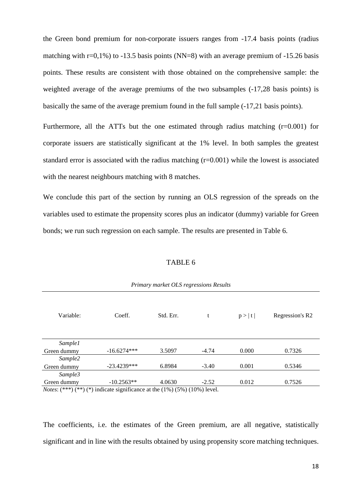the Green bond premium for non-corporate issuers ranges from -17.4 basis points (radius matching with  $r=0.1\%$ ) to  $-13.5$  basis points (NN=8) with an average premium of  $-15.26$  basis points. These results are consistent with those obtained on the comprehensive sample: the weighted average of the average premiums of the two subsamples (-17,28 basis points) is basically the same of the average premium found in the full sample (-17,21 basis points).

Furthermore, all the ATTs but the one estimated through radius matching  $(r=0.001)$  for corporate issuers are statistically significant at the 1% level. In both samples the greatest standard error is associated with the radius matching (r=0.001) while the lowest is associated with the nearest neighbours matching with 8 matches.

We conclude this part of the section by running an OLS regression of the spreads on the variables used to estimate the propensity scores plus an indicator (dummy) variable for Green bonds; we run such regression on each sample. The results are presented in Table 6.

#### TABLE 6

| Variable:                                                                                                                                                                                                                      | Coeff.         | Std. Err.                                                                                                                                                                                                                                                           | t       | p >  t | Regression's R2 |
|--------------------------------------------------------------------------------------------------------------------------------------------------------------------------------------------------------------------------------|----------------|---------------------------------------------------------------------------------------------------------------------------------------------------------------------------------------------------------------------------------------------------------------------|---------|--------|-----------------|
| Sample1                                                                                                                                                                                                                        |                |                                                                                                                                                                                                                                                                     |         |        |                 |
| Green dummy                                                                                                                                                                                                                    | $-16.6274***$  | 3.5097                                                                                                                                                                                                                                                              | $-4.74$ | 0.000  | 0.7326          |
| Sample2                                                                                                                                                                                                                        |                |                                                                                                                                                                                                                                                                     |         |        |                 |
| Green dummy                                                                                                                                                                                                                    | $-23.4239***$  | 6.8984                                                                                                                                                                                                                                                              | $-3.40$ | 0.001  | 0.5346          |
| Sample3                                                                                                                                                                                                                        |                |                                                                                                                                                                                                                                                                     |         |        |                 |
| Green dummy                                                                                                                                                                                                                    | $-10.2563**$   | 4.0630                                                                                                                                                                                                                                                              | $-2.52$ | 0.012  | 0.7526          |
| the contract of the state of the contract of the contract of the contract of the contract of the contract of the contract of the contract of the contract of the contract of the contract of the contract of the contract of t | $\cdot$ $\sim$ | $\sim$ 1 $\sim$ 14.013 $\sim$ 14.000 $\sim$ 14.000 $\sim$ 15.000 $\sim$ 15.000 $\sim$ 15.000 $\sim$ 15.000 $\sim$ 15.000 $\sim$ 16.000 $\sim$ 16.000 $\sim$ 16.000 $\sim$ 16.000 $\sim$ 16.000 $\sim$ 16.000 $\sim$ 16.000 $\sim$ 16.000 $\sim$ 16.000 $\sim$ 16.00 |         |        |                 |

*Primary market OLS regressions Results*

*Notes*:  $(***)$   $(**)$   $(*)$  indicate significance at the  $(1%)$   $(5%)$   $(10%)$  level.

The coefficients, i.e. the estimates of the Green premium, are all negative, statistically significant and in line with the results obtained by using propensity score matching techniques.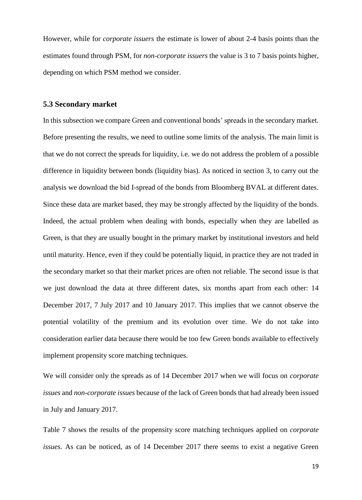However, while for *corporate issuers* the estimate is lower of about 2-4 basis points than the estimates found through PSM, for *non-corporate issuers* the value is 3 to 7 basis points higher, depending on which PSM method we consider.

#### **5.3 Secondary market**

In this subsection we compare Green and conventional bonds' spreads in the secondary market. Before presenting the results, we need to outline some limits of the analysis. The main limit is that we do not correct the spreads for liquidity, i.e. we do not address the problem of a possible difference in liquidity between bonds (liquidity bias). As noticed in section 3, to carry out the analysis we download the bid I-spread of the bonds from Bloomberg BVAL at different dates. Since these data are market based, they may be strongly affected by the liquidity of the bonds. Indeed, the actual problem when dealing with bonds, especially when they are labelled as Green, is that they are usually bought in the primary market by institutional investors and held until maturity. Hence, even if they could be potentially liquid, in practice they are not traded in the secondary market so that their market prices are often not reliable. The second issue is that we just download the data at three different dates, six months apart from each other: 14 December 2017, 7 July 2017 and 10 January 2017. This implies that we cannot observe the potential volatility of the premium and its evolution over time. We do not take into consideration earlier data because there would be too few Green bonds available to effectively implement propensity score matching techniques.

We will consider only the spreads as of 14 December 2017 when we will focus on *corporate issues* and *non-corporate issues* because of the lack of Green bonds that had already been issued in July and January 2017.

Table 7 shows the results of the propensity score matching techniques applied on *corporate issues.* As can be noticed, as of 14 December 2017 there seems to exist a negative Green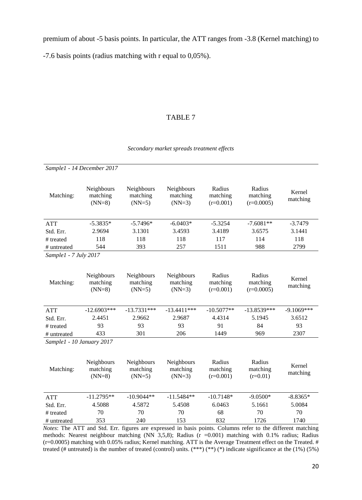premium of about -5 basis points. In particular, the ATT ranges from -3.8 (Kernel matching) to

-7.6 basis points (radius matching with r equal to 0,05%).

## TABLE 7

#### *Secondary market spreads treatment effects*

|                           | Sample1 - 14 December 2017         |                                    |                                    |                                   |                                                                                                                                                                                                                                           |                    |
|---------------------------|------------------------------------|------------------------------------|------------------------------------|-----------------------------------|-------------------------------------------------------------------------------------------------------------------------------------------------------------------------------------------------------------------------------------------|--------------------|
| Matching:                 | Neighbours<br>matching<br>$(NN=8)$ | Neighbours<br>matching<br>$(NN=5)$ | Neighbours<br>matching<br>$(NN=3)$ | Radius<br>matching<br>$(r=0.001)$ | Radius<br>matching<br>$(r=0.0005)$                                                                                                                                                                                                        | Kernel<br>matching |
| <b>ATT</b>                | $-5.3835*$                         | $-5.7496*$                         | $-6.0403*$                         | $-5.3254$                         | $-7.6081**$                                                                                                                                                                                                                               | $-3.7479$          |
| Std. Err.                 | 2.9694                             | 3.1301                             | 3.4593                             | 3.4189                            | 3.6575                                                                                                                                                                                                                                    | 3.1441             |
| # treated                 | 118                                | 118                                | 118                                | 117                               | 114                                                                                                                                                                                                                                       | 118                |
| # untreated               | 544                                | 393                                | 257                                | 1511                              | 988                                                                                                                                                                                                                                       | 2799               |
| Sample1 - 7 July 2017     |                                    |                                    |                                    |                                   |                                                                                                                                                                                                                                           |                    |
| Matching:                 | Neighbours<br>matching<br>$(NN=8)$ | Neighbours<br>matching<br>$(NN=5)$ | Neighbours<br>matching<br>$(NN=3)$ | Radius<br>matching<br>$(r=0.001)$ | Radius<br>matching<br>$(r=0.0005)$                                                                                                                                                                                                        | Kernel<br>matching |
| <b>ATT</b>                | $-12.6903***$                      | $-13.7331***$                      | $-13.4411***$                      | $-10.5077**$                      | $-13.8539***$                                                                                                                                                                                                                             | $-9.1069***$       |
| Std. Err.                 | 2.4451                             | 2.9662                             | 2.9687                             | 4.4314                            | 5.1945                                                                                                                                                                                                                                    | 3.6512             |
| # treated                 | 93                                 | 93                                 | 93                                 | 91                                | 84                                                                                                                                                                                                                                        | 93                 |
| # untreated               | 433                                | 301                                | 206                                | 1449                              | 969                                                                                                                                                                                                                                       | 2307               |
| Sample1 - 10 January 2017 |                                    |                                    |                                    |                                   |                                                                                                                                                                                                                                           |                    |
| Matching:                 | Neighbours<br>matching<br>$(NN=8)$ | Neighbours<br>matching<br>$(NN=5)$ | Neighbours<br>matching<br>$(NN=3)$ | Radius<br>matching<br>$(r=0.001)$ | Radius<br>matching<br>$(r=0.01)$                                                                                                                                                                                                          | Kernel<br>matching |
| <b>ATT</b>                | $-11.2795**$                       | $-10.9044**$                       | $-11.5484**$                       | $-10.7148*$                       | $-9.0500*$                                                                                                                                                                                                                                | $-8.8365*$         |
| Std. Err.                 | 4.5088                             | 4.5872                             | 5.4508                             | 6.0463                            | 5.1661                                                                                                                                                                                                                                    | 5.0084             |
| # treated                 | 70                                 | 70                                 | 70                                 | 68                                | 70                                                                                                                                                                                                                                        | 70                 |
| # untreated               | 353                                | 240                                | 153                                | 832                               | 1726                                                                                                                                                                                                                                      | 1740               |
|                           |                                    |                                    |                                    |                                   | Notes: The ATT and Std. Err. figures are expressed in basis points. Columns refer to the different matching                                                                                                                               |                    |
|                           |                                    |                                    |                                    |                                   | methods: Nearest neighbour matching (NN 3,5,8); Radius ( $r = 0.001$ ) matching with 0.1% radius; Radius                                                                                                                                  |                    |
|                           |                                    |                                    |                                    |                                   | (r=0.0005) matching with 0.05% radius; Kernel matching. ATT is the Average Treatment effect on the Treated. #<br>treated (# untreated) is the number of treated (control) units. $(***)$ $(*)$ (*) indicate significance at the (1%) (5%) |                    |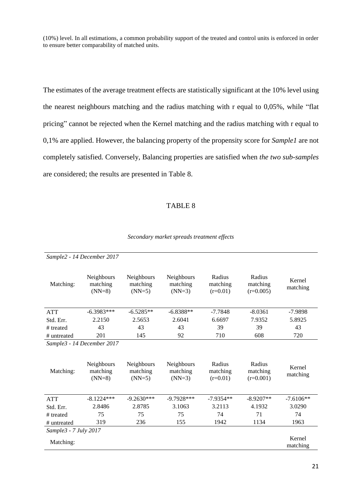(10%) level. In all estimations, a common probability support of the treated and control units is enforced in order to ensure better comparability of matched units.

The estimates of the average treatment effects are statistically significant at the 10% level using the nearest neighbours matching and the radius matching with r equal to 0,05%, while "flat pricing" cannot be rejected when the Kernel matching and the radius matching with r equal to 0,1% are applied. However, the balancing property of the propensity score for *Sample1* are not completely satisfied. Conversely, Balancing properties are satisfied when *the two sub-samples* are considered; the results are presented in Table 8.

#### TABLE 8

|                       | Sample2 - 14 December 2017         |                                    |                                    |                                  |                                   |                    |
|-----------------------|------------------------------------|------------------------------------|------------------------------------|----------------------------------|-----------------------------------|--------------------|
| Matching:             | Neighbours<br>matching<br>$(NN=8)$ | Neighbours<br>matching<br>$(NN=5)$ | Neighbours<br>matching<br>$(NN=3)$ | Radius<br>matching<br>$(r=0.01)$ | Radius<br>matching<br>$(r=0.005)$ | Kernel<br>matching |
| <b>ATT</b>            | $-6.3983***$                       | $-6.5285**$                        | $-6.8388**$                        | $-7.7848$                        | $-8.0361$                         | $-7.9898$          |
| Std. Err.             | 2.2150                             | 2.5653                             | 2.6041                             | 6.6697                           | 7.9352                            | 5.8925             |
| # treated             | 43                                 | 43                                 | 43                                 | 39                               | 39                                | 43                 |
| # untreated           | 201                                | 145                                | 92                                 | 710                              | 608                               | 720                |
|                       | Sample3 - 14 December 2017         |                                    |                                    |                                  |                                   |                    |
| Matching:             | Neighbours<br>matching<br>$(NN=8)$ | Neighbours<br>matching<br>$(NN=5)$ | Neighbours<br>matching<br>$(NN=3)$ | Radius<br>matching<br>$(r=0.01)$ | Radius<br>matching<br>$(r=0.001)$ | Kernel<br>matching |
| <b>ATT</b>            | $-8.1224***$                       | $-9.2630***$                       | $-9.7928***$                       | $-7.9354**$                      | $-8.9207**$                       | $-7.6106**$        |
| Std. Err.             | 2.8486                             | 2.8785                             | 3.1063                             | 3.2113                           | 4.1932                            | 3.0290             |
| # treated             | 75                                 | 75                                 | 75                                 | 74                               | 71                                | 74                 |
| # untreated           | 319                                | 236                                | 155                                | 1942                             | 1134                              | 1963               |
| Sample3 - 7 July 2017 |                                    |                                    |                                    |                                  |                                   |                    |
| Matching:             |                                    |                                    |                                    |                                  |                                   | Kernel<br>matching |

#### *Secondary market spreads treatment effects*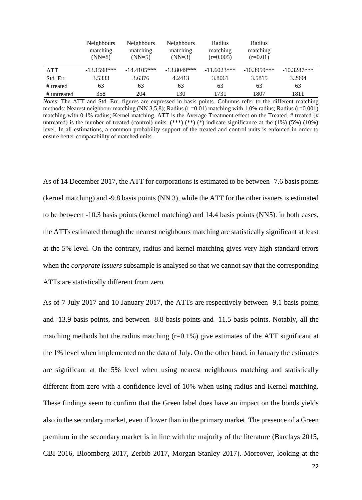|             | <b>Neighbours</b><br>matching<br>$(NN=8)$ | <b>Neighbours</b><br>matching<br>$(NN=5)$ | <b>Neighbours</b><br>matching<br>$(NN=3)$ | Radius<br>matching<br>$(r=0.005)$ | Radius<br>matching<br>$(r=0.01)$ |               |
|-------------|-------------------------------------------|-------------------------------------------|-------------------------------------------|-----------------------------------|----------------------------------|---------------|
| <b>ATT</b>  | $-13.1598***$                             | $-14.4105***$                             | $-13.8049***$                             | $-11.6023***$                     | $-10.3959***$                    | $-10.3287***$ |
| Std. Err.   | 3.5333                                    | 3.6376                                    | 4.2413                                    | 3.8061                            | 3.5815                           | 3.2994        |
| # treated   | 63                                        | 63                                        | 63                                        | 63                                | 63                               | 63            |
| # untreated | 358                                       | 204                                       | 130                                       | 1731                              | 1807                             | 1811          |

*Notes*: The ATT and Std. Err. figures are expressed in basis points. Columns refer to the different matching methods: Nearest neighbour matching (NN 3,5,8); Radius ( $r = 0.01$ ) matching with 1.0% radius; Radius ( $r = 0.001$ ) matching with 0.1% radius; Kernel matching. ATT is the Average Treatment effect on the Treated. # treated (# untreated) is the number of treated (control) units.  $(**)(*)$   $(*)$  indicate significance at the (1%) (5%) (10%) level. In all estimations, a common probability support of the treated and control units is enforced in order to ensure better comparability of matched units.

As of 14 December 2017, the ATT for corporations is estimated to be between -7.6 basis points (kernel matching) and -9.8 basis points (NN 3), while the ATT for the other issuers is estimated to be between -10.3 basis points (kernel matching) and 14.4 basis points (NN5). in both cases, the ATTs estimated through the nearest neighbours matching are statistically significant at least at the 5% level. On the contrary, radius and kernel matching gives very high standard errors when the *corporate issuers* subsample is analysed so that we cannot say that the corresponding ATTs are statistically different from zero.

As of 7 July 2017 and 10 January 2017, the ATTs are respectively between -9.1 basis points and -13.9 basis points, and between -8.8 basis points and -11.5 basis points. Notably, all the matching methods but the radius matching  $(r=0.1\%)$  give estimates of the ATT significant at the 1% level when implemented on the data of July. On the other hand, in January the estimates are significant at the 5% level when using nearest neighbours matching and statistically different from zero with a confidence level of 10% when using radius and Kernel matching. These findings seem to confirm that the Green label does have an impact on the bonds yields also in the secondary market, even if lower than in the primary market. The presence of a Green premium in the secondary market is in line with the majority of the literature (Barclays 2015, CBI 2016, Bloomberg 2017, Zerbib 2017, Morgan Stanley 2017). Moreover, looking at the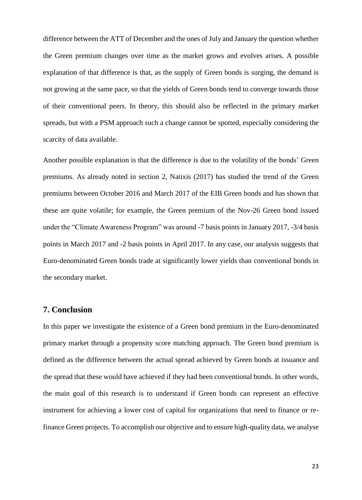difference between the ATT of December and the ones of July and January the question whether the Green premium changes over time as the market grows and evolves arises. A possible explanation of that difference is that, as the supply of Green bonds is surging, the demand is not growing at the same pace, so that the yields of Green bonds tend to converge towards those of their conventional peers. In theory, this should also be reflected in the primary market spreads, but with a PSM approach such a change cannot be spotted, especially considering the scarcity of data available.

Another possible explanation is that the difference is due to the volatility of the bonds' Green premiums. As already noted in section 2, Natixis (2017) has studied the trend of the Green premiums between October 2016 and March 2017 of the EIB Green bonds and has shown that these are quite volatile; for example, the Green premium of the Nov-26 Green bond issued under the "Climate Awareness Program" was around -7 basis points in January 2017, -3/4 basis points in March 2017 and -2 basis points in April 2017. In any case, our analysis suggests that Euro-denominated Green bonds trade at significantly lower yields than conventional bonds in the secondary market.

## **7. Conclusion**

In this paper we investigate the existence of a Green bond premium in the Euro-denominated primary market through a propensity score matching approach. The Green bond premium is defined as the difference between the actual spread achieved by Green bonds at issuance and the spread that these would have achieved if they had been conventional bonds. In other words, the main goal of this research is to understand if Green bonds can represent an effective instrument for achieving a lower cost of capital for organizations that need to finance or refinance Green projects. To accomplish our objective and to ensure high-quality data, we analyse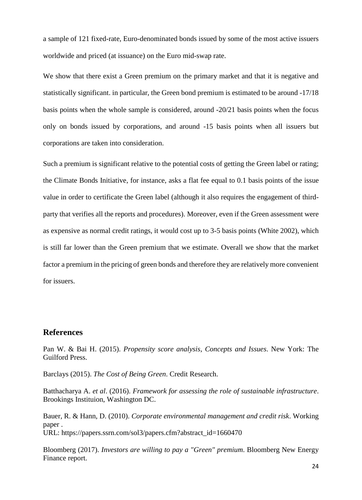a sample of 121 fixed-rate, Euro-denominated bonds issued by some of the most active issuers worldwide and priced (at issuance) on the Euro mid-swap rate.

We show that there exist a Green premium on the primary market and that it is negative and statistically significant. in particular, the Green bond premium is estimated to be around -17/18 basis points when the whole sample is considered, around -20/21 basis points when the focus only on bonds issued by corporations, and around -15 basis points when all issuers but corporations are taken into consideration.

Such a premium is significant relative to the potential costs of getting the Green label or rating; the Climate Bonds Initiative, for instance, asks a flat fee equal to 0.1 basis points of the issue value in order to certificate the Green label (although it also requires the engagement of thirdparty that verifies all the reports and procedures). Moreover, even if the Green assessment were as expensive as normal credit ratings, it would cost up to 3-5 basis points (White 2002), which is still far lower than the Green premium that we estimate. Overall we show that the market factor a premium in the pricing of green bonds and therefore they are relatively more convenient for issuers.

## **References**

Pan W. & Bai H. (2015). *Propensity score analysis, Concepts and Issues*. New York: The Guilford Press.

Barclays (2015). *The Cost of Being Green*. Credit Research.

Batthacharya A. *et al*. (2016). *Framework for assessing the role of sustainable infrastructure*. Brookings Instituion, Washington DC.

Bauer, R. & Hann, D. (2010). *Corporate environmental management and credit risk*. Working paper . URL: https://papers.ssrn.com/sol3/papers.cfm?abstract\_id=1660470

Bloomberg (2017). *Investors are willing to pay a "Green" premium*. Bloomberg New Energy Finance report.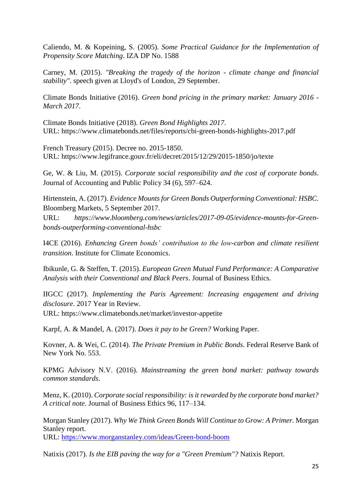Caliendo, M. & Kopeining, S. (2005). *Some Practical Guidance for the Implementation of Propensity Score Matching*. IZA DP No. 1588

Carney, M. (2015). *"Breaking the tragedy of the horizon - climate change and financial stability"*. speech given at Lloyd's of London, 29 September.

Climate Bonds Initiative (2016). *Green bond pricing in the primary market: January 2016 - March 2017*.

Climate Bonds Initiative (2018). *Green Bond Highlights 2017*. URL: https://www.climatebonds.net/files/reports/cbi-green-bonds-highlights-2017.pdf

French Treasury (2015). Decree no. 2015-1850. URL: https://www.legifrance.gouv.fr/eli/decret/2015/12/29/2015-1850/jo/texte

Ge, W. & Liu, M. (2015). *Corporate social responsibility and the cost of corporate bonds*. Journal of Accounting and Public Policy 34 (6), 597–624.

Hirtenstein, A. (2017). *Evidence Mounts for Green Bonds Outperforming Conventional: HSBC.*  Bloomberg Markets, 5 September 2017.

URL: *https://www.bloomberg.com/news/articles/2017-09-05/evidence-mounts-for-Greenbonds-outperforming-conventional-hsbc*

I4CE (2016). *Enhancing Green bonds' contribution to the low-carbon and climate resilient transition*. Institute for Climate Economics.

Ibikunle, G. & Steffen, T. (2015). *European Green Mutual Fund Performance: A Comparative Analysis with their Conventional and Black Peers*. Journal of Business Ethics.

IIGCC (2017). *Implementing the Paris Agreement: Increasing engagement and driving disclosure*. 2017 Year in Review.

URL: https://www.climatebonds.net/market/investor-appetite

Karpf, A. & Mandel, A. (2017). *Does it pay to be Green?* Working Paper.

Kovner, A. & Wei, C. (2014). *The Private Premium in Public Bonds*. Federal Reserve Bank of New York No. 553.

KPMG Advisory N.V. (2016). *Mainstreaming the green bond market: pathway towards common standards*.

Menz, K. (2010). *Corporate social responsibility: is it rewarded by the corporate bond market? A critical note*. Journal of Business Ethics 96, 117–134.

Morgan Stanley (2017). *Why We Think Green Bonds Will Continue to Grow: A Primer.* Morgan Stanley report. URL:<https://www.morganstanley.com/ideas/Green-bond-boom>

Natixis (2017). *Is the EIB paving the way for a "Green Premium"?* Natixis Report.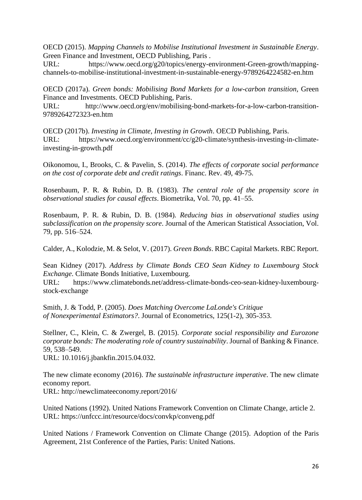OECD (2015). *Mapping Channels to Mobilise Institutional Investment in Sustainable Energy*. Green Finance and Investment, OECD Publishing, Paris .

URL: https://www.oecd.org/g20/topics/energy-environment-Green-growth/mappingchannels-to-mobilise-institutional-investment-in-sustainable-energy-9789264224582-en.htm

OECD (2017a). *Green bonds: Mobilising Bond Markets for a low-carbon transition,* Green Finance and Investments. OECD Publishing, Paris.

URL: http://www.oecd.org/env/mobilising-bond-markets-for-a-low-carbon-transition-9789264272323-en.htm

OECD (2017b). *Investing in Climate, Investing in Growth*. OECD Publishing, Paris. URL: https://www.oecd.org/environment/cc/g20-climate/synthesis-investing-in-climateinvesting-in-growth.pdf

Oikonomou, I., Brooks, C. & Pavelin, S. (2014). *The effects of corporate social performance on the cost of corporate debt and credit ratings*. Financ. Rev. 49, 49-75.

Rosenbaum, P. R. & Rubin, D. B. (1983). *The central role of the propensity score in observational studies for causal effects*. Biometrika, Vol. 70, pp. 41–55.

Rosenbaum, P. R. & Rubin, D. B. (1984). *Reducing bias in observational studies using subclassification on the propensity score*. Journal of the American Statistical Association, Vol. 79, pp. 516–524.

Calder, A., Kolodzie, M. & Selot, V. (2017). *Green Bonds*. RBC Capital Markets. RBC Report.

Sean Kidney (2017). *Address by Climate Bonds CEO Sean Kidney to Luxembourg Stock Exchange*. Climate Bonds Initiative, Luxembourg.

URL: https://www.climatebonds.net/address-climate-bonds-ceo-sean-kidney-luxembourgstock-exchange

Smith, J. & Todd, P. (2005). *Does Matching Overcome LaLonde's Critique of Nonexperimental Estimators?*. Journal of Econometrics, 125(1-2), 305-353.

Stellner, C., Klein, C. & Zwergel, B. (2015). *Corporate social responsibility and Eurozone corporate bonds: The moderating role of country sustainability*. Journal of Banking & Finance. 59, 538–549.

URL: 10.1016/j.jbankfin.2015.04.032.

The new climate economy (2016). *The sustainable infrastructure imperative*. The new climate economy report. URL: http://newclimateeconomy.report/2016/

United Nations (1992). United Nations Framework Convention on Climate Change, article 2. URL:<https://unfccc.int/resource/docs/convkp/conveng.pdf>

United Nations / Framework Convention on Climate Change (2015). Adoption of the Paris Agreement, 21st Conference of the Parties, Paris: United Nations.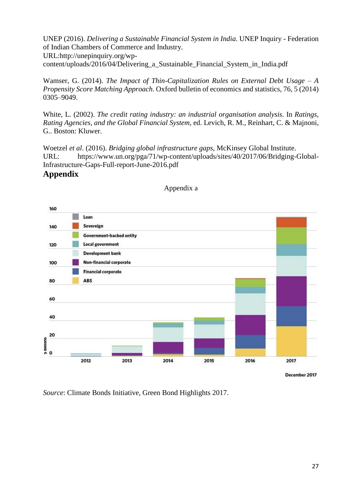UNEP (2016). *Delivering a Sustainable Financial System in India*. UNEP Inquiry - Federation of Indian Chambers of Commerce and Industry. [URL:http://unepinquiry.org/wp](http://unepinquiry.org/wp-content/uploads/2016/04/Delivering_a_Sustainable_Financial_System_in_India.pdf)[content/uploads/2016/04/Delivering\\_a\\_Sustainable\\_Financial\\_System\\_in\\_India.pdf](http://unepinquiry.org/wp-content/uploads/2016/04/Delivering_a_Sustainable_Financial_System_in_India.pdf)

Wamser, G. (2014). *The Impact of Thin-Capitalization Rules on External Debt Usage – A Propensity Score Matching Approach*. Oxford bulletin of economics and statistics, 76, 5 (2014) 0305–9049.

White, L. (2002). *The credit rating industry: an industrial organisation analysis.* In *Ratings, Rating Agencies, and the Global Financial System,* ed. Levich, R. M., Reinhart, C. & Majnoni, G.. Boston: Kluwer.

Woetzel *et al*. (2016). *Bridging global infrastructure gaps*, McKinsey Global Institute. URL: https://www.un.org/pga/71/wp-content/uploads/sites/40/2017/06/Bridging-Global-Infrastructure-Gaps-Full-report-June-2016.pdf

## **Appendix**



## Appendix a

*Source*: Climate Bonds Initiative, Green Bond Highlights 2017.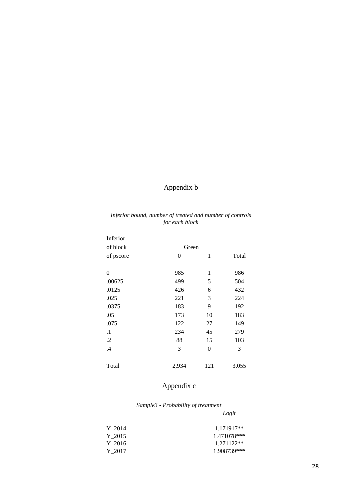# Appendix b

| Inferior   |       |     |       |
|------------|-------|-----|-------|
| of block   | Green |     |       |
| of pscore  | 0     | 1   | Total |
|            |       |     |       |
| 0          | 985   | 1   | 986   |
| .00625     | 499   | 5   | 504   |
| .0125      | 426   | 6   | 432   |
| .025       | 221   | 3   | 224   |
| .0375      | 183   | 9   | 192   |
| .05        | 173   | 10  | 183   |
| .075       | 122   | 27  | 149   |
| $\cdot$ 1  | 234   | 45  | 279   |
| $\cdot$ .2 | 88    | 15  | 103   |
| .4         | 3     | 0   | 3     |
|            |       |     |       |
| Total      | 2,934 | 121 | 3,055 |

*Inferior bound, number of treated and number of controls for each block*

# Appendix c

| Sample3 - Probability of treatment |             |  |
|------------------------------------|-------------|--|
|                                    | Logit       |  |
| Y 2014                             | 1.171917**  |  |
| Y 2015                             | 1.471078*** |  |
| Y 2016                             | 1.271122**  |  |
| Y 2017                             | 1.908739*** |  |